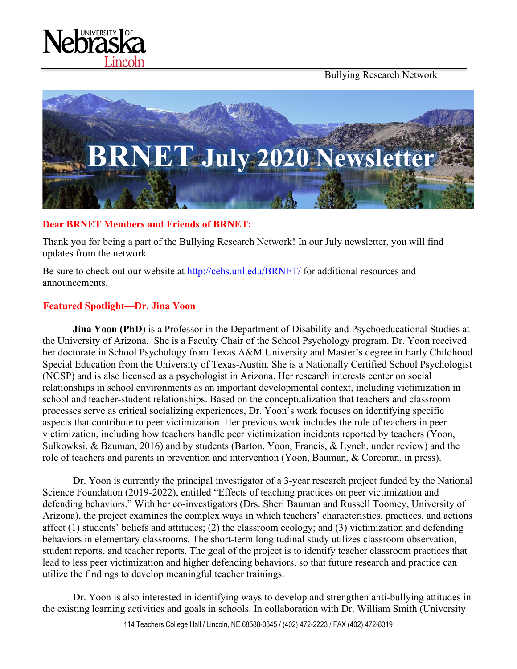Bullying Research Network





#### **Dear BRNET Members and Friends of BRNET:**

Thank you for being a part of the Bullying Research Network! In our July newsletter, you will find updates from the network.

Be sure to check out our website at<http://cehs.unl.edu/BRNET/> for additional resources and announcements.

#### **Featured Spotlight—Dr. Jina Yoon**

**Jina Yoon (PhD**) is a Professor in the Department of Disability and Psychoeducational Studies at the University of Arizona. She is a Faculty Chair of the School Psychology program. Dr. Yoon received her doctorate in School Psychology from Texas A&M University and Master's degree in Early Childhood Special Education from the University of Texas-Austin. She is a Nationally Certified School Psychologist (NCSP) and is also licensed as a psychologist in Arizona. Her research interests center on social relationships in school environments as an important developmental context, including victimization in school and teacher-student relationships. Based on the conceptualization that teachers and classroom processes serve as critical socializing experiences, Dr. Yoon's work focuses on identifying specific aspects that contribute to peer victimization. Her previous work includes the role of teachers in peer victimization, including how teachers handle peer victimization incidents reported by teachers (Yoon, Sulkowksi, & Bauman, 2016) and by students (Barton, Yoon, Francis, & Lynch, under review) and the role of teachers and parents in prevention and intervention (Yoon, Bauman, & Corcoran, in press).

Dr. Yoon is currently the principal investigator of a 3-year research project funded by the National Science Foundation (2019-2022), entitled "Effects of teaching practices on peer victimization and defending behaviors." With her co-investigators (Drs. Sheri Bauman and Russell Toomey, University of Arizona), the project examines the complex ways in which teachers' characteristics, practices, and actions affect (1) students' beliefs and attitudes; (2) the classroom ecology; and (3) victimization and defending behaviors in elementary classrooms. The short-term longitudinal study utilizes classroom observation, student reports, and teacher reports. The goal of the project is to identify teacher classroom practices that lead to less peer victimization and higher defending behaviors, so that future research and practice can utilize the findings to develop meaningful teacher trainings.

Dr. Yoon is also interested in identifying ways to develop and strengthen anti-bullying attitudes in the existing learning activities and goals in schools. In collaboration with Dr. William Smith (University

114 Teachers College Hall / Lincoln, NE 68588-0345 / (402) 472-2223 / FAX (402) 472-8319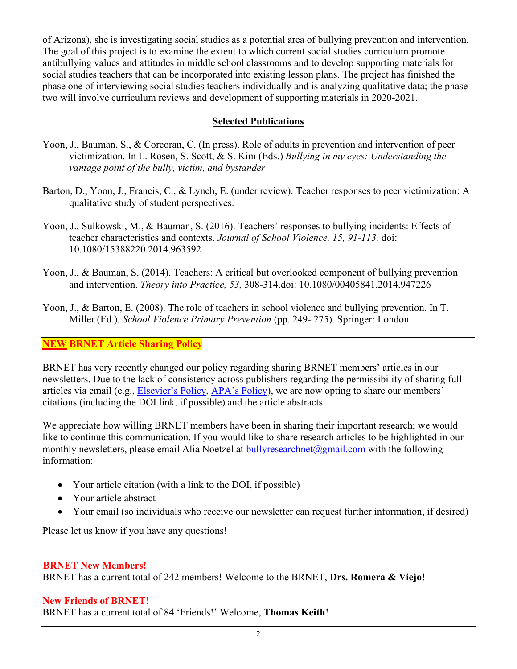of Arizona), she is investigating social studies as a potential area of bullying prevention and intervention. The goal of this project is to examine the extent to which current social studies curriculum promote antibullying values and attitudes in middle school classrooms and to develop supporting materials for social studies teachers that can be incorporated into existing lesson plans. The project has finished the phase one of interviewing social studies teachers individually and is analyzing qualitative data; the phase two will involve curriculum reviews and development of supporting materials in 2020-2021.

## **Selected Publications**

- Yoon, J., Bauman, S., & Corcoran, C. (In press). Role of adults in prevention and intervention of peer victimization. In L. Rosen, S. Scott, & S. Kim (Eds.) *Bullying in my eyes: Understanding the vantage point of the bully, victim, and bystander*
- Barton, D., Yoon, J., Francis, C., & Lynch, E. (under review). Teacher responses to peer victimization: A qualitative study of student perspectives.
- Yoon, J., Sulkowski, M., & Bauman, S. (2016). Teachers' responses to bullying incidents: Effects of teacher characteristics and contexts. *Journal of School Violence, 15, 91-113.* doi: 10.1080/15388220.2014.963592
- Yoon, J., & Bauman, S. (2014). Teachers: A critical but overlooked component of bullying prevention and intervention. *Theory into Practice, 53,* 308-314.doi: 10.1080/00405841.2014.947226
- Yoon, J., & Barton, E. (2008). The role of teachers in school violence and bullying prevention. In T. Miller (Ed.), *School Violence Primary Prevention* (pp. 249- 275). Springer: London.

# **NEW BRNET Article Sharing Policy**

BRNET has very recently changed our policy regarding sharing BRNET members' articles in our newsletters. Due to the lack of consistency across publishers regarding the permissibility of sharing full articles via email (e.g., [Elsevier's Policy,](https://www.elsevier.com/authors/journal-authors/submit-your-paper/sharing-and-promoting-your-article) [APA's Policy\)](https://www.apa.org/about/contact/copyright/), we are now opting to share our members' citations (including the DOI link, if possible) and the article abstracts.

We appreciate how willing BRNET members have been in sharing their important research; we would like to continue this communication. If you would like to share research articles to be highlighted in our monthly newsletters, please email Alia Noetzel at [bullyresearchnet@gmail.com](mailto:bullyresearchnet@gmail.com) with the following information:

- Your article citation (with a link to the DOI, if possible)
- Your article abstract
- Your email (so individuals who receive our newsletter can request further information, if desired)

Please let us know if you have any questions!

### **BRNET New Members!**

BRNET has a current total of 242 members! Welcome to the BRNET, **Drs. Romera & Viejo**!

### **New Friends of BRNET!**

BRNET has a current total of 84 'Friends!' Welcome, **Thomas Keith**!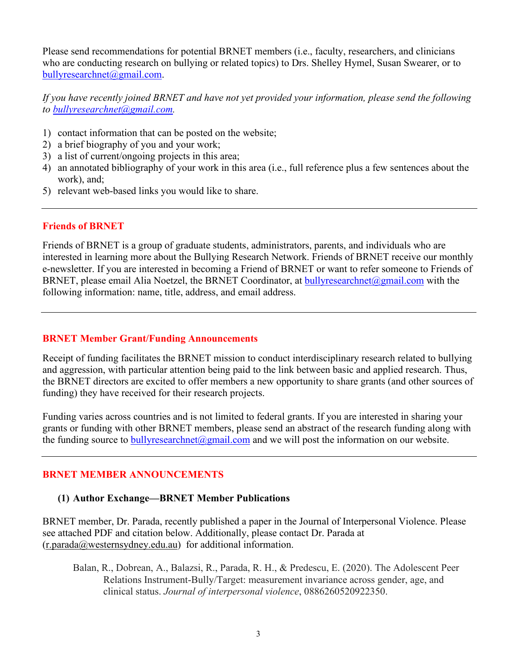Please send recommendations for potential BRNET members (i.e., faculty, researchers, and clinicians who are conducting research on bullying or related topics) to Drs. Shelley Hymel, Susan Swearer, or to [bullyresearchnet@gmail.com.](mailto:bullyresearchnet@gmail.com)

*If you have recently joined BRNET and have not yet provided your information, please send the following to [bullyresearchnet@gmail.com.](mailto:bullyresearchnet@gmail.com)*

- 1) contact information that can be posted on the website;
- 2) a brief biography of you and your work;
- 3) a list of current/ongoing projects in this area;
- 4) an annotated bibliography of your work in this area (i.e., full reference plus a few sentences about the work), and;
- 5) relevant web-based links you would like to share.

#### **Friends of BRNET**

Friends of BRNET is a group of graduate students, administrators, parents, and individuals who are interested in learning more about the Bullying Research Network. Friends of BRNET receive our monthly e-newsletter. If you are interested in becoming a Friend of BRNET or want to refer someone to Friends of BRNET, please email Alia Noetzel, the BRNET Coordinator, at [bullyresearchnet@gmail.com](mailto:bullyresearchnet@gmail.com) with the following information: name, title, address, and email address.

#### **BRNET Member Grant/Funding Announcements**

Receipt of funding facilitates the BRNET mission to conduct interdisciplinary research related to bullying and aggression, with particular attention being paid to the link between basic and applied research. Thus, the BRNET directors are excited to offer members a new opportunity to share grants (and other sources of funding) they have received for their research projects.

Funding varies across countries and is not limited to federal grants. If you are interested in sharing your grants or funding with other BRNET members, please send an abstract of the research funding along with the funding source to bully research net  $\omega$  gmail.com and we will post the information on our website.

### **BRNET MEMBER ANNOUNCEMENTS**

#### **(1) Author Exchange—BRNET Member Publications**

BRNET member, Dr. Parada, recently published a paper in the Journal of Interpersonal Violence. Please see attached PDF and citation below. Additionally, please contact Dr. Parada at [\(r.parada@westernsydney.edu.au\)](mailto:r.parada@westernsydney.edu.au) for additional information.

Balan, R., Dobrean, A., Balazsi, R., Parada, R. H., & Predescu, E. (2020). The Adolescent Peer Relations Instrument-Bully/Target: measurement invariance across gender, age, and clinical status. *Journal of interpersonal violence*, 0886260520922350.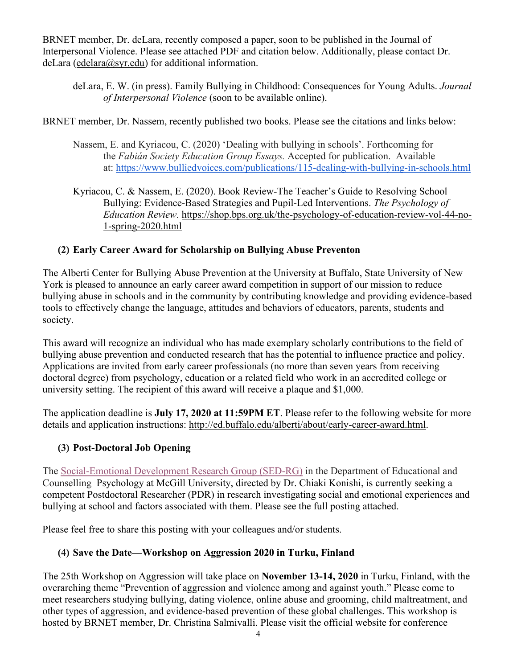BRNET member, Dr. deLara, recently composed a paper, soon to be published in the Journal of Interpersonal Violence. Please see attached PDF and citation below. Additionally, please contact Dr. deLara [\(edelara@syr.edu\)](mailto:edelara@syr.edu) for additional information.

deLara, E. W. (in press). Family Bullying in Childhood: Consequences for Young Adults. *Journal of Interpersonal Violence* (soon to be available online).

BRNET member, Dr. Nassem, recently published two books. Please see the citations and links below:

- Nassem, E. and Kyriacou, C. (2020) 'Dealing with bullying in schools'. Forthcoming for the *Fabián Society Education Group Essays.* Accepted for publication. Available at: <https://www.bulliedvoices.com/publications/115-dealing-with-bullying-in-schools.html>
- Kyriacou, C. & Nassem, E. (2020). Book Review-The Teacher's Guide to Resolving School Bullying: Evidence-Based Strategies and Pupil-Led Interventions. *The Psychology of Education Review.* [https://shop.bps.org.uk/the-psychology-of-education-review-vol-44-no-](https://shop.bps.org.uk/the-psychology-of-education-review-vol-44-no-1-spring-2020.html)[1-spring-2020.html](https://shop.bps.org.uk/the-psychology-of-education-review-vol-44-no-1-spring-2020.html)

## **(2) Early Career Award for Scholarship on Bullying Abuse Preventon**

The Alberti Center for Bullying Abuse Prevention at the University at Buffalo, State University of New York is pleased to announce an early career award competition in support of our mission to reduce bullying abuse in schools and in the community by contributing knowledge and providing evidence-based tools to effectively change the language, attitudes and behaviors of educators, parents, students and society.

This award will recognize an individual who has made exemplary scholarly contributions to the field of bullying abuse prevention and conducted research that has the potential to influence practice and policy. Applications are invited from early career professionals (no more than seven years from receiving doctoral degree) from psychology, education or a related field who work in an accredited college or university setting. The recipient of this award will receive a plaque and \$1,000.

The application deadline is **July 17, 2020 at 11:59PM ET**. Please refer to the following website for more details and application instructions: [http://ed.buffalo.edu/alberti/about/early-career-award.html.](http://ed.buffalo.edu/alberti/about/early-career-award.html)

# **(3) Post-Doctoral Job Opening**

The [Social-Emotional Development Research Group \(SED-RG\)](http://sedrg.ca/) in the Department of Educational and Counselling Psychology at McGill University, directed by Dr. Chiaki Konishi, is currently seeking a competent Postdoctoral Researcher (PDR) in research investigating social and emotional experiences and bullying at school and factors associated with them. Please see the full posting attached.

Please feel free to share this posting with your colleagues and/or students.

# **(4) Save the Date—Workshop on Aggression 2020 in Turku, Finland**

The 25th Workshop on Aggression will take place on **November 13-14, 2020** in Turku, Finland, with the overarching theme "Prevention of aggression and violence among and against youth." Please come to meet researchers studying bullying, dating violence, online abuse and grooming, child maltreatment, and other types of aggression, and evidence-based prevention of these global challenges. This workshop is hosted by BRNET member, Dr. Christina Salmivalli. Please visit the official website for conference